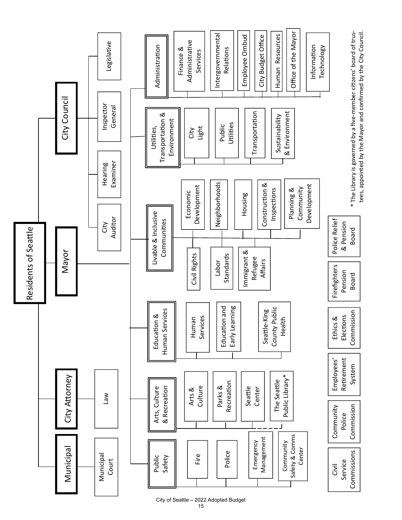

City of Seattle – 2022 Adopted Budget